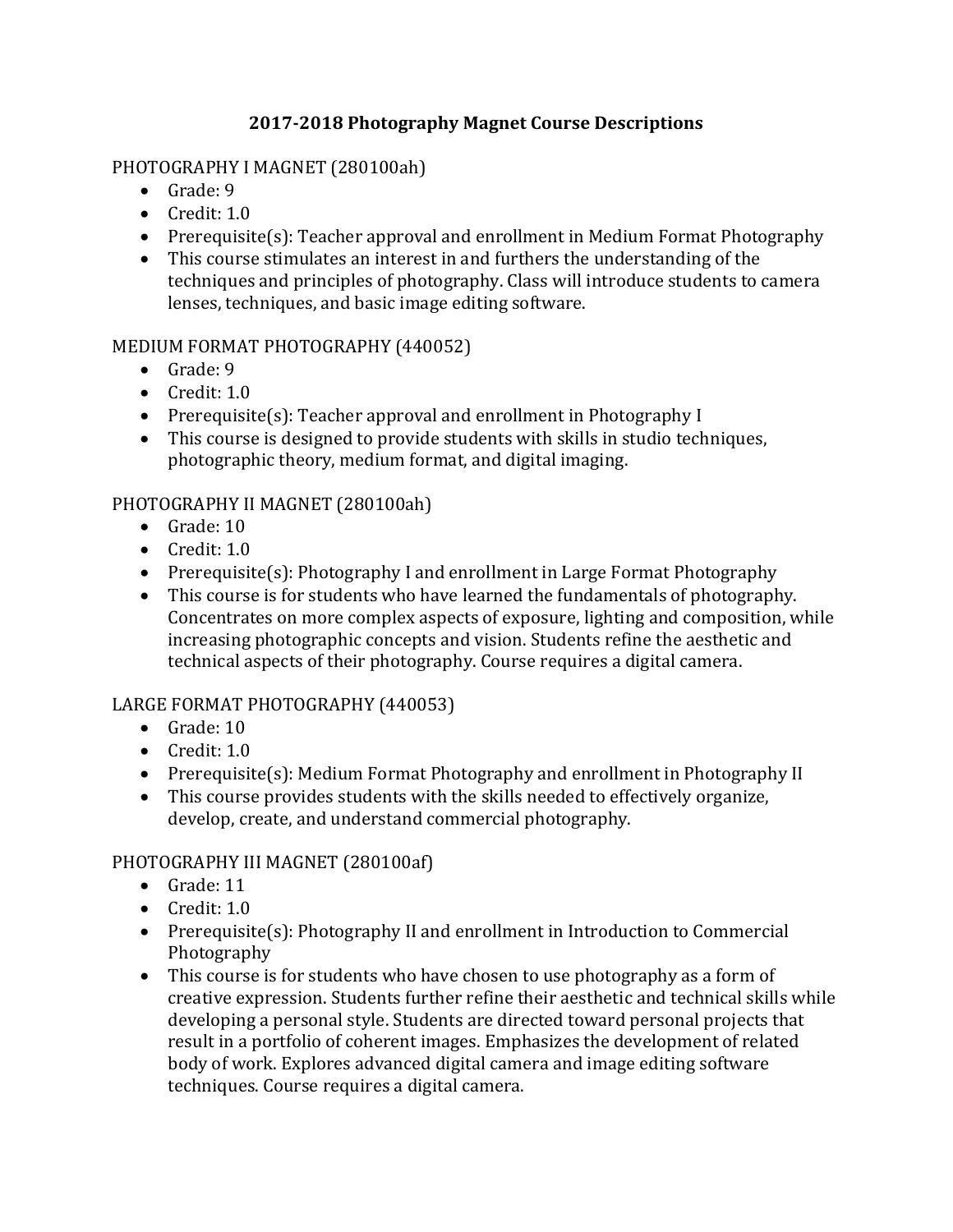# **2017-2018 Photography Magnet Course Descriptions**

## PHOTOGRAPHY I MAGNET (280100ah)

- Grade: 9
- Credit: 1.0
- Prerequisite(s): Teacher approval and enrollment in Medium Format Photography
- This course stimulates an interest in and furthers the understanding of the techniques and principles of photography. Class will introduce students to camera lenses, techniques, and basic image editing software.

### MEDIUM FORMAT PHOTOGRAPHY (440052)

- Grade: 9
- Credit: 1.0
- Prerequisite(s): Teacher approval and enrollment in Photography I
- This course is designed to provide students with skills in studio techniques, photographic theory, medium format, and digital imaging.

### PHOTOGRAPHY II MAGNET (280100ah)

- Grade: 10
- Credit: 1.0
- Prerequisite(s): Photography I and enrollment in Large Format Photography
- This course is for students who have learned the fundamentals of photography. Concentrates on more complex aspects of exposure, lighting and composition, while increasing photographic concepts and vision. Students refine the aesthetic and technical aspects of their photography. Course requires a digital camera.

## LARGE FORMAT PHOTOGRAPHY (440053)

- Grade: 10
- Credit: 1.0
- Prerequisite(s): Medium Format Photography and enrollment in Photography II
- This course provides students with the skills needed to effectively organize, develop, create, and understand commercial photography.

#### PHOTOGRAPHY III MAGNET (280100af)

- Grade: 11
- Credit: 1.0
- Prerequisite(s): Photography II and enrollment in Introduction to Commercial Photography
- This course is for students who have chosen to use photography as a form of creative expression. Students further refine their aesthetic and technical skills while developing a personal style. Students are directed toward personal projects that result in a portfolio of coherent images. Emphasizes the development of related body of work. Explores advanced digital camera and image editing software techniques. Course requires a digital camera.